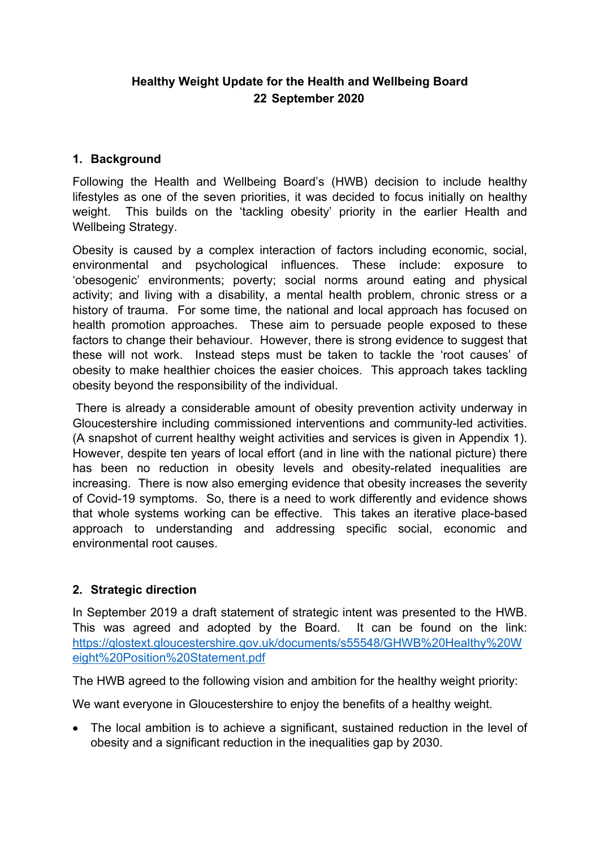# **Healthy Weight Update for the Health and Wellbeing Board 22 September 2020**

## **1. Background**

Following the Health and Wellbeing Board's (HWB) decision to include healthy lifestyles as one of the seven priorities, it was decided to focus initially on healthy weight. This builds on the 'tackling obesity' priority in the earlier Health and Wellbeing Strategy.

Obesity is caused by a complex interaction of factors including economic, social, environmental and psychological influences. These include: exposure to 'obesogenic' environments; poverty; social norms around eating and physical activity; and living with a disability, a mental health problem, chronic stress or a history of trauma. For some time, the national and local approach has focused on health promotion approaches. These aim to persuade people exposed to these factors to change their behaviour. However, there is strong evidence to suggest that these will not work. Instead steps must be taken to tackle the 'root causes' of obesity to make healthier choices the easier choices. This approach takes tackling obesity beyond the responsibility of the individual.

There is already a considerable amount of obesity prevention activity underway in Gloucestershire including commissioned interventions and community-led activities. (A snapshot of current healthy weight activities and services is given in Appendix 1). However, despite ten years of local effort (and in line with the national picture) there has been no reduction in obesity levels and obesity-related inequalities are increasing. There is now also emerging evidence that obesity increases the severity of Covid-19 symptoms. So, there is a need to work differently and evidence shows that whole systems working can be effective. This takes an iterative place-based approach to understanding and addressing specific social, economic and environmental root causes.

### **2. Strategic direction**

In September 2019 a draft statement of strategic intent was presented to the HWB. This was agreed and adopted by the Board. It can be found on the link: [https://glostext.gloucestershire.gov.uk/documents/s55548/GHWB%20Healthy%20W](https://glostext.gloucestershire.gov.uk/documents/s55548/GHWB%20Healthy%20Weight%20Position%20Statement.pdf) [eight%20Position%20Statement.pdf](https://glostext.gloucestershire.gov.uk/documents/s55548/GHWB%20Healthy%20Weight%20Position%20Statement.pdf)

The HWB agreed to the following vision and ambition for the healthy weight priority:

We want everyone in Gloucestershire to enjoy the benefits of a healthy weight.

• The local ambition is to achieve a significant, sustained reduction in the level of obesity and a significant reduction in the inequalities gap by 2030.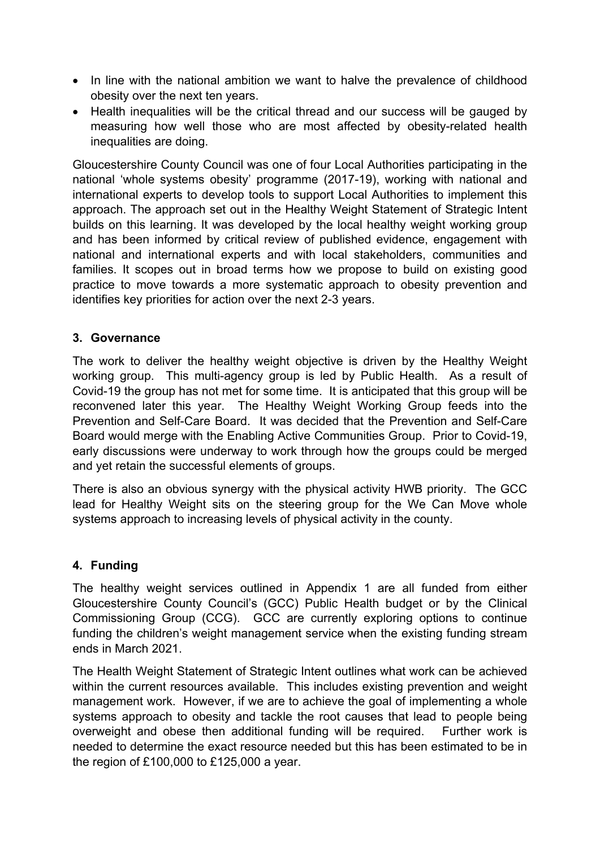- In line with the national ambition we want to halve the prevalence of childhood obesity over the next ten years.
- Health inequalities will be the critical thread and our success will be gauged by measuring how well those who are most affected by obesity-related health inequalities are doing.

Gloucestershire County Council was one of four Local Authorities participating in the national 'whole systems obesity' programme (2017-19), working with national and international experts to develop tools to support Local Authorities to implement this approach. The approach set out in the Healthy Weight Statement of Strategic Intent builds on this learning. It was developed by the local healthy weight working group and has been informed by critical review of published evidence, engagement with national and international experts and with local stakeholders, communities and families. It scopes out in broad terms how we propose to build on existing good practice to move towards a more systematic approach to obesity prevention and identifies key priorities for action over the next 2-3 years.

#### **3. Governance**

The work to deliver the healthy weight objective is driven by the Healthy Weight working group. This multi-agency group is led by Public Health. As a result of Covid-19 the group has not met for some time. It is anticipated that this group will be reconvened later this year. The Healthy Weight Working Group feeds into the Prevention and Self-Care Board. It was decided that the Prevention and Self-Care Board would merge with the Enabling Active Communities Group. Prior to Covid-19, early discussions were underway to work through how the groups could be merged and yet retain the successful elements of groups.

There is also an obvious synergy with the physical activity HWB priority. The GCC lead for Healthy Weight sits on the steering group for the We Can Move whole systems approach to increasing levels of physical activity in the county.

### **4. Funding**

The healthy weight services outlined in Appendix 1 are all funded from either Gloucestershire County Council's (GCC) Public Health budget or by the Clinical Commissioning Group (CCG). GCC are currently exploring options to continue funding the children's weight management service when the existing funding stream ends in March 2021.

The Health Weight Statement of Strategic Intent outlines what work can be achieved within the current resources available. This includes existing prevention and weight management work. However, if we are to achieve the goal of implementing a whole systems approach to obesity and tackle the root causes that lead to people being overweight and obese then additional funding will be required. Further work is needed to determine the exact resource needed but this has been estimated to be in the region of £100,000 to £125,000 a year.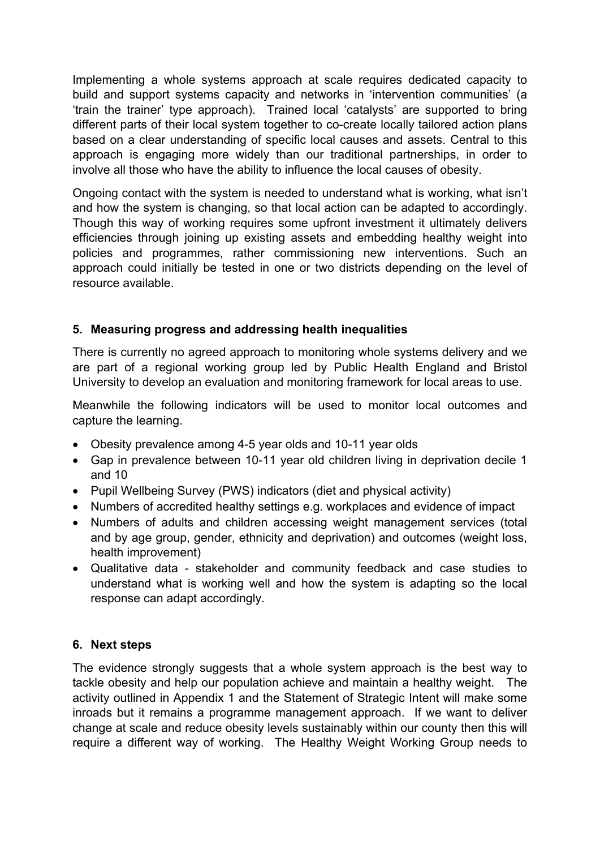Implementing a whole systems approach at scale requires dedicated capacity to build and support systems capacity and networks in 'intervention communities' (a 'train the trainer' type approach). Trained local 'catalysts' are supported to bring different parts of their local system together to co-create locally tailored action plans based on a clear understanding of specific local causes and assets. Central to this approach is engaging more widely than our traditional partnerships, in order to involve all those who have the ability to influence the local causes of obesity.

Ongoing contact with the system is needed to understand what is working, what isn't and how the system is changing, so that local action can be adapted to accordingly. Though this way of working requires some upfront investment it ultimately delivers efficiencies through joining up existing assets and embedding healthy weight into policies and programmes, rather commissioning new interventions. Such an approach could initially be tested in one or two districts depending on the level of resource available.

### **5. Measuring progress and addressing health inequalities**

There is currently no agreed approach to monitoring whole systems delivery and we are part of a regional working group led by Public Health England and Bristol University to develop an evaluation and monitoring framework for local areas to use.

Meanwhile the following indicators will be used to monitor local outcomes and capture the learning.

- Obesity prevalence among 4-5 year olds and 10-11 year olds
- Gap in prevalence between 10-11 year old children living in deprivation decile 1 and 10
- Pupil Wellbeing Survey (PWS) indicators (diet and physical activity)
- Numbers of accredited healthy settings e.g. workplaces and evidence of impact
- Numbers of adults and children accessing weight management services (total and by age group, gender, ethnicity and deprivation) and outcomes (weight loss, health improvement)
- Qualitative data stakeholder and community feedback and case studies to understand what is working well and how the system is adapting so the local response can adapt accordingly.

### **6. Next steps**

The evidence strongly suggests that a whole system approach is the best way to tackle obesity and help our population achieve and maintain a healthy weight. The activity outlined in Appendix 1 and the Statement of Strategic Intent will make some inroads but it remains a programme management approach. If we want to deliver change at scale and reduce obesity levels sustainably within our county then this will require a different way of working. The Healthy Weight Working Group needs to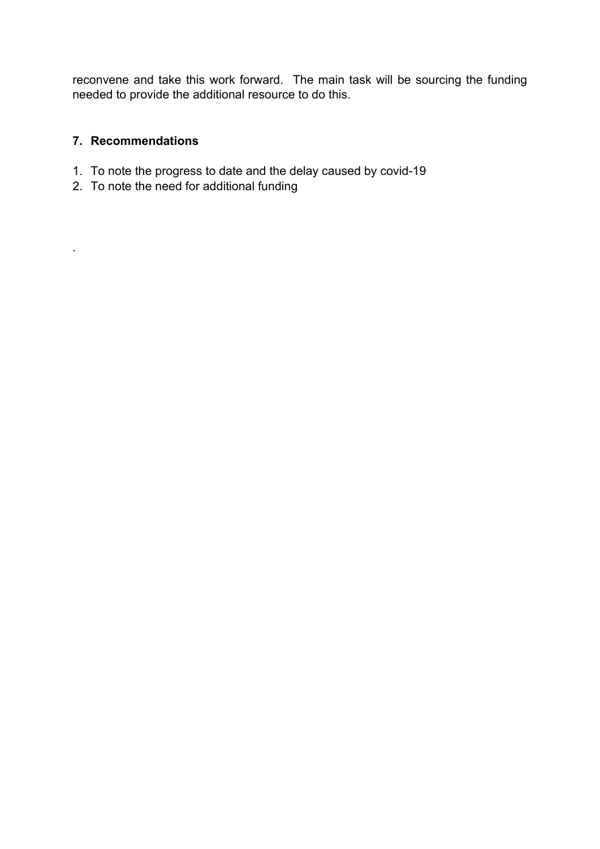reconvene and take this work forward. The main task will be sourcing the funding needed to provide the additional resource to do this.

#### **7. Recommendations**

.

- 1. To note the progress to date and the delay caused by covid-19
- 2. To note the need for additional funding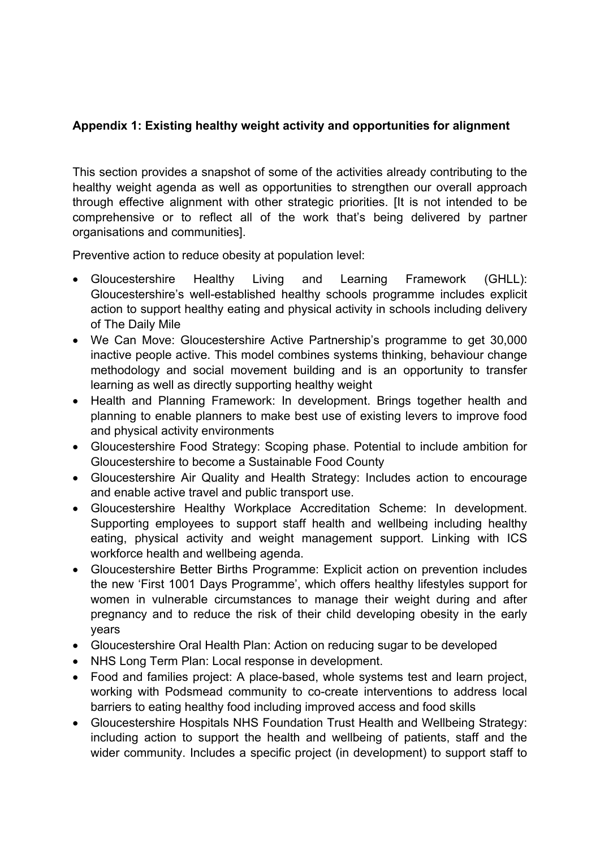# **Appendix 1: Existing healthy weight activity and opportunities for alignment**

This section provides a snapshot of some of the activities already contributing to the healthy weight agenda as well as opportunities to strengthen our overall approach through effective alignment with other strategic priorities. [It is not intended to be comprehensive or to reflect all of the work that's being delivered by partner organisations and communities].

Preventive action to reduce obesity at population level:

- Gloucestershire Healthy Living and Learning Framework (GHLL): Gloucestershire's well-established healthy schools programme includes explicit action to support healthy eating and physical activity in schools including delivery of The Daily Mile
- We Can Move: Gloucestershire Active Partnership's programme to get 30,000 inactive people active. This model combines systems thinking, behaviour change methodology and social movement building and is an opportunity to transfer learning as well as directly supporting healthy weight
- Health and Planning Framework: In development. Brings together health and planning to enable planners to make best use of existing levers to improve food and physical activity environments
- Gloucestershire Food Strategy: Scoping phase. Potential to include ambition for Gloucestershire to become a Sustainable Food County
- Gloucestershire Air Quality and Health Strategy: Includes action to encourage and enable active travel and public transport use.
- Gloucestershire Healthy Workplace Accreditation Scheme: In development. Supporting employees to support staff health and wellbeing including healthy eating, physical activity and weight management support. Linking with ICS workforce health and wellbeing agenda.
- Gloucestershire Better Births Programme: Explicit action on prevention includes the new 'First 1001 Days Programme', which offers healthy lifestyles support for women in vulnerable circumstances to manage their weight during and after pregnancy and to reduce the risk of their child developing obesity in the early years
- Gloucestershire Oral Health Plan: Action on reducing sugar to be developed
- NHS Long Term Plan: Local response in development.
- Food and families project: A place-based, whole systems test and learn project, working with Podsmead community to co-create interventions to address local barriers to eating healthy food including improved access and food skills
- Gloucestershire Hospitals NHS Foundation Trust Health and Wellbeing Strategy: including action to support the health and wellbeing of patients, staff and the wider community. Includes a specific project (in development) to support staff to